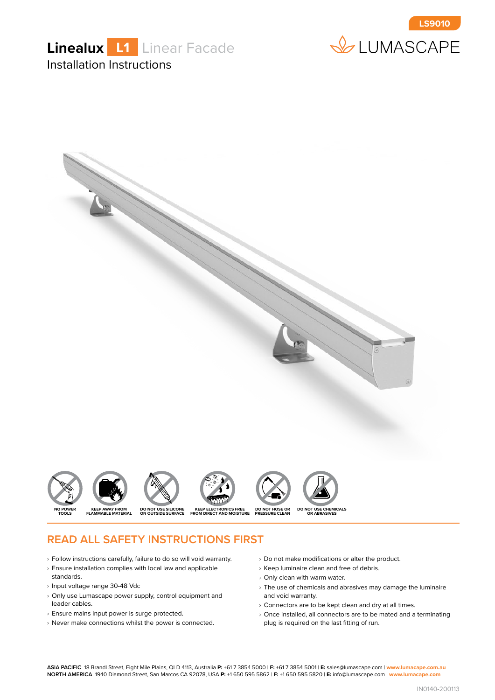





#### **READ ALL SAFETY INSTRUCTIONS FIRST**

- $\rightarrow$  Follow instructions carefully, failure to do so will void warranty.
- $\rightarrow$  Ensure installation complies with local law and applicable standards.
- › Input voltage range 30-48 Vdc
- $\rightarrow$  Only use Lumascape power supply, control equipment and leader cables.
- › Ensure mains input power is surge protected.
- $\rightarrow$  Never make connections whilst the power is connected.
- $\rightarrow$  Do not make modifications or alter the product.
- $\rightarrow$  Keep luminaire clean and free of debris.
- › Only clean with warm water.
- $\rightarrow$  The use of chemicals and abrasives may damage the luminaire and void warranty.
- $\rightarrow$  Connectors are to be kept clean and dry at all times.
- $\rightarrow$  Once installed, all connectors are to be mated and a terminating plug is required on the last fitting of run.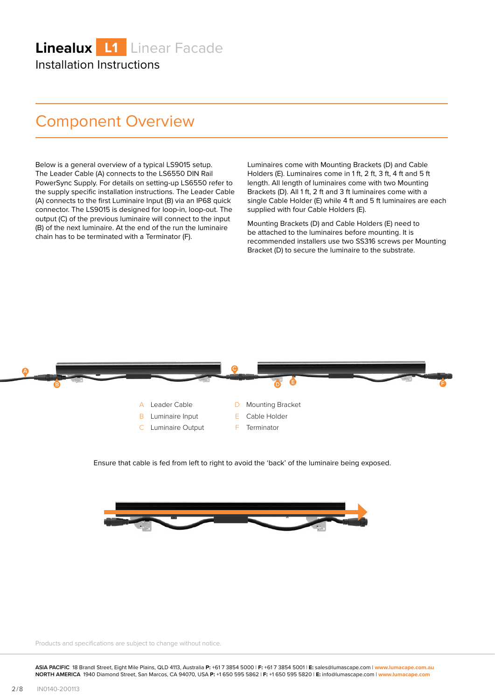## Component Overview

Below is a general overview of a typical LS9015 setup. The Leader Cable (A) connects to the LS6550 DIN Rail PowerSync Supply. For details on setting-up LS6550 refer to the supply specific installation instructions. The Leader Cable (A) connects to the first Luminaire Input (B) via an IP68 quick connector. The LS9015 is designed for loop-in, loop-out. The output (C) of the previous luminaire will connect to the input (B) of the next luminaire. At the end of the run the luminaire chain has to be terminated with a Terminator (F).

Luminaires come with Mounting Brackets (D) and Cable Holders (E). Luminaires come in 1 ft, 2 ft, 3 ft, 4 ft and 5 ft length. All length of luminaires come with two Mounting Brackets (D). All 1 ft, 2 ft and 3 ft luminaires come with a single Cable Holder (E) while 4 ft and 5 ft luminaires are each supplied with four Cable Holders (E).

Mounting Brackets (D) and Cable Holders (E) need to be attached to the luminaires before mounting. It is recommended installers use two SS316 screws per Mounting Bracket (D) to secure the luminaire to the substrate.



Ensure that cable is fed from left to right to avoid the 'back' of the luminaire being exposed.



Products and specifications are subject to change without notice.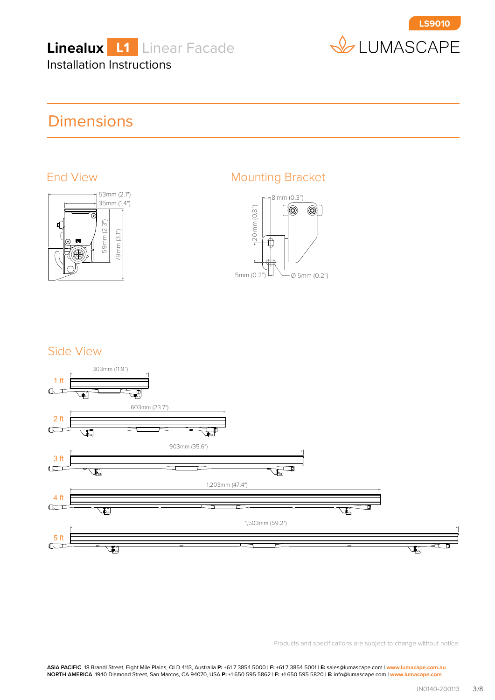



## **Dimensions**



#### End View **Mounting Bracket**



#### Side View



Products and specifications are subject to change without notice.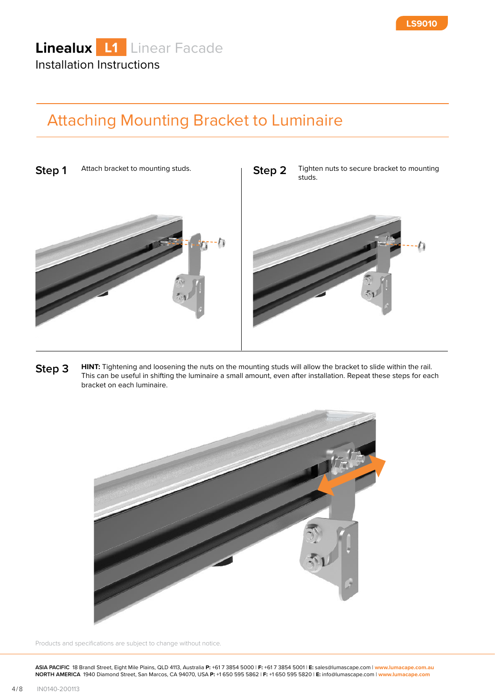## Attaching Mounting Bracket to Luminaire



**Step 3 HINT:** Tightening and loosening the nuts on the mounting studs will allow the bracket to slide within the rail. This can be useful in shifting the luminaire a small amount, even after installation. Repeat these steps for each bracket on each luminaire.



Products and specifications are subject to change without notice.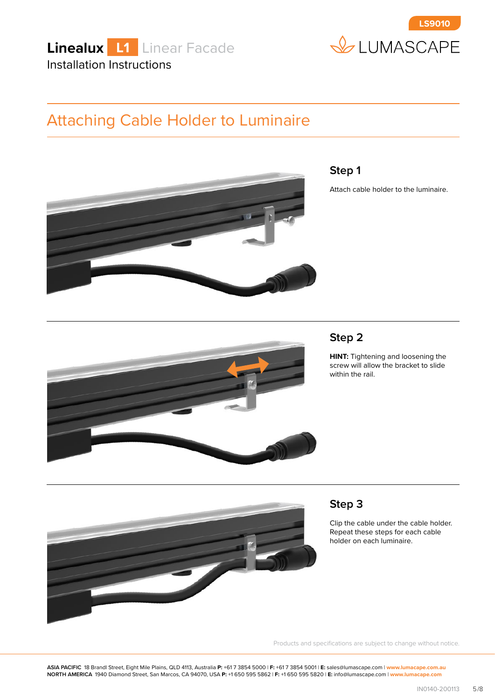



## Attaching Cable Holder to Luminaire



#### **Step 1**

Attach cable holder to the luminaire.

#### **Step 2**

**HINT:** Tightening and loosening the screw will allow the bracket to slide within the rail.



# **Step 3**

Clip the cable under the cable holder. Repeat these steps for each cable holder on each luminaire.

Products and specifications are subject to change without notice.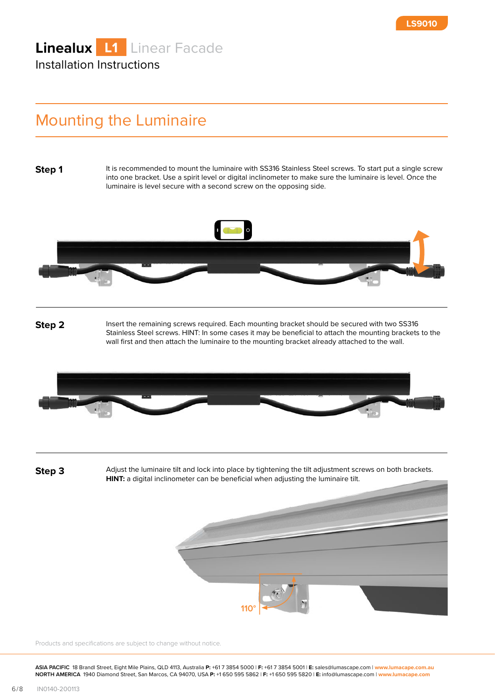## Mounting the Luminaire

**Step 1**

It is recommended to mount the luminaire with SS316 Stainless Steel screws. To start put a single screw into one bracket. Use a spirit level or digital inclinometer to make sure the luminaire is level. Once the luminaire is level secure with a second screw on the opposing side.



**Step 2** Insert the remaining screws required. Each mounting bracket should be secured with two SS316 Stainless Steel screws. HINT: In some cases it may be beneficial to attach the mounting brackets to the wall first and then attach the luminaire to the mounting bracket already attached to the wall.



**Step 3** Adjust the luminaire tilt and lock into place by tightening the tilt adjustment screws on both brackets. **HINT:** a digital inclinometer can be beneficial when adjusting the luminaire tilt.



Products and specifications are subject to change without notice.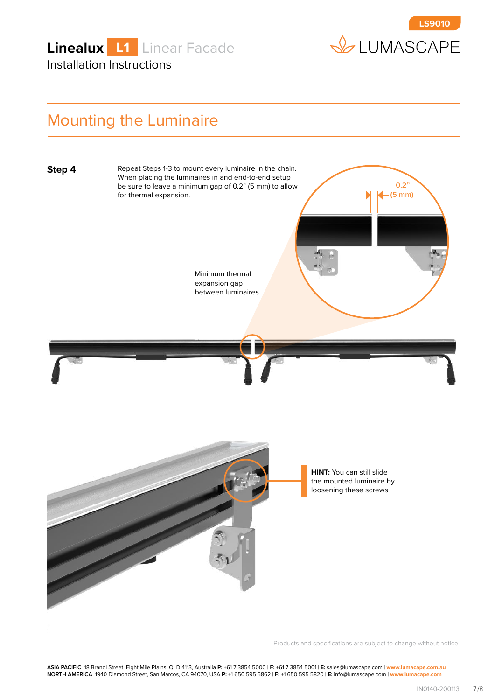



#### Mounting the Luminaire



Products and specifications are subject to change without notice.